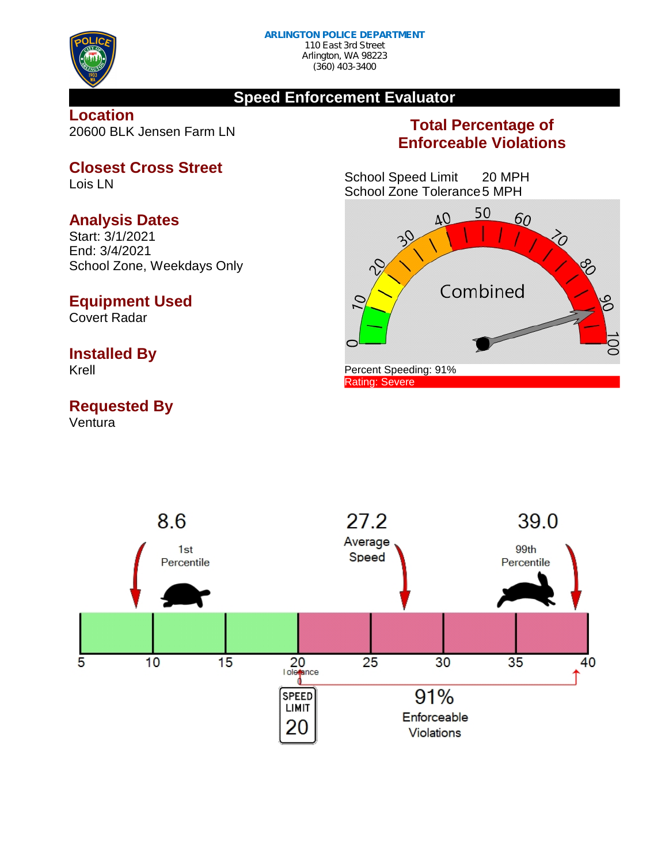

(360) 403-3400

#### **Speed Enforcement Evaluator**

**Location** 20600 BLK Jensen Farm LN

# **Total Percentage of Enforceable Violations**

School Speed Limit 20 MPH School Zone Tolerance5 MPH



**Closest Cross Street** Lois LN

#### **Analysis Dates**

Start: 3/1/2021 End: 3/4/2021 School Zone, Weekdays Only

#### **Equipment Used**

Covert Radar

# **Installed By**

Krell

# **Requested By**

Ventura